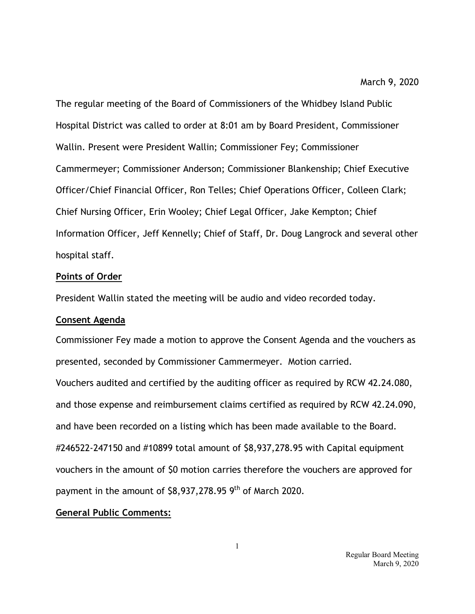The regular meeting of the Board of Commissioners of the Whidbey Island Public Hospital District was called to order at 8:01 am by Board President, Commissioner Wallin. Present were President Wallin; Commissioner Fey; Commissioner Cammermeyer; Commissioner Anderson; Commissioner Blankenship; Chief Executive Officer/Chief Financial Officer, Ron Telles; Chief Operations Officer, Colleen Clark; Chief Nursing Officer, Erin Wooley; Chief Legal Officer, Jake Kempton; Chief Information Officer, Jeff Kennelly; Chief of Staff, Dr. Doug Langrock and several other hospital staff.

### **Points of Order**

President Wallin stated the meeting will be audio and video recorded today.

## **Consent Agenda**

Commissioner Fey made a motion to approve the Consent Agenda and the vouchers as presented, seconded by Commissioner Cammermeyer. Motion carried.

Vouchers audited and certified by the auditing officer as required by RCW 42.24.080, and those expense and reimbursement claims certified as required by RCW 42.24.090, and have been recorded on a listing which has been made available to the Board. #246522-247150 and #10899 total amount of \$8,937,278.95 with Capital equipment vouchers in the amount of \$0 motion carries therefore the vouchers are approved for payment in the amount of \$8,937,278.95 9<sup>th</sup> of March 2020.

## **General Public Comments:**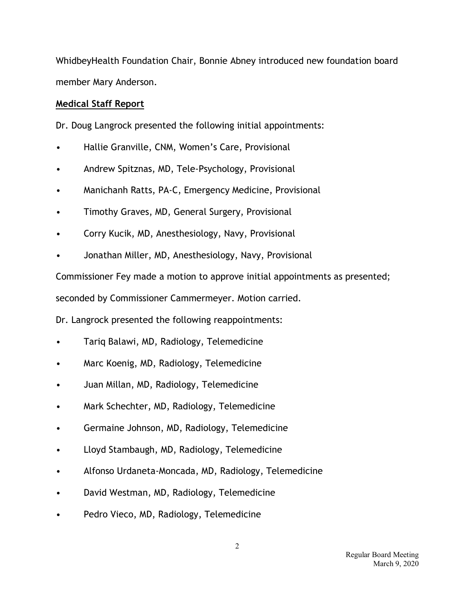WhidbeyHealth Foundation Chair, Bonnie Abney introduced new foundation board member Mary Anderson.

# **Medical Staff Report**

Dr. Doug Langrock presented the following initial appointments:

- Hallie Granville, CNM, Women's Care, Provisional
- Andrew Spitznas, MD, Tele-Psychology, Provisional
- Manichanh Ratts, PA-C, Emergency Medicine, Provisional
- Timothy Graves, MD, General Surgery, Provisional
- Corry Kucik, MD, Anesthesiology, Navy, Provisional
- Jonathan Miller, MD, Anesthesiology, Navy, Provisional

Commissioner Fey made a motion to approve initial appointments as presented;

seconded by Commissioner Cammermeyer. Motion carried.

Dr. Langrock presented the following reappointments:

- Tariq Balawi, MD, Radiology, Telemedicine
- Marc Koenig, MD, Radiology, Telemedicine
- Juan Millan, MD, Radiology, Telemedicine
- Mark Schechter, MD, Radiology, Telemedicine
- Germaine Johnson, MD, Radiology, Telemedicine
- Lloyd Stambaugh, MD, Radiology, Telemedicine
- Alfonso Urdaneta-Moncada, MD, Radiology, Telemedicine
- David Westman, MD, Radiology, Telemedicine
- Pedro Vieco, MD, Radiology, Telemedicine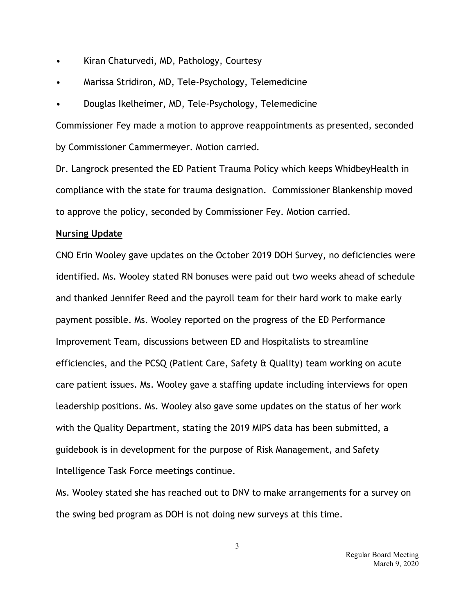- Kiran Chaturvedi, MD, Pathology, Courtesy
- Marissa Stridiron, MD, Tele-Psychology, Telemedicine
- Douglas Ikelheimer, MD, Tele-Psychology, Telemedicine

Commissioner Fey made a motion to approve reappointments as presented, seconded by Commissioner Cammermeyer. Motion carried.

Dr. Langrock presented the ED Patient Trauma Policy which keeps WhidbeyHealth in compliance with the state for trauma designation. Commissioner Blankenship moved to approve the policy, seconded by Commissioner Fey. Motion carried.

## **Nursing Update**

CNO Erin Wooley gave updates on the October 2019 DOH Survey, no deficiencies were identified. Ms. Wooley stated RN bonuses were paid out two weeks ahead of schedule and thanked Jennifer Reed and the payroll team for their hard work to make early payment possible. Ms. Wooley reported on the progress of the ED Performance Improvement Team, discussions between ED and Hospitalists to streamline efficiencies, and the PCSQ (Patient Care, Safety & Quality) team working on acute care patient issues. Ms. Wooley gave a staffing update including interviews for open leadership positions. Ms. Wooley also gave some updates on the status of her work with the Quality Department, stating the 2019 MIPS data has been submitted, a guidebook is in development for the purpose of Risk Management, and Safety Intelligence Task Force meetings continue.

Ms. Wooley stated she has reached out to DNV to make arrangements for a survey on the swing bed program as DOH is not doing new surveys at this time.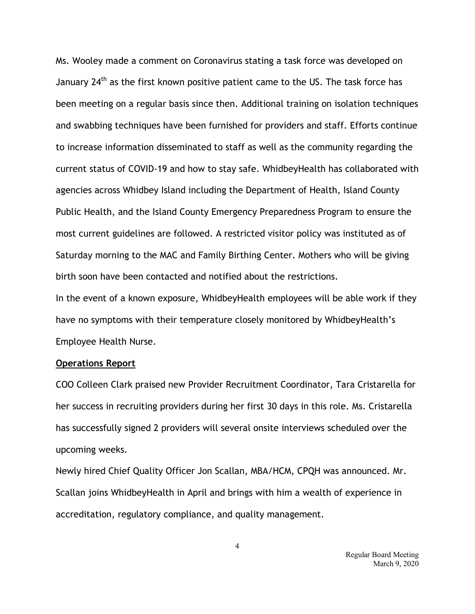Ms. Wooley made a comment on Coronavirus stating a task force was developed on January 24<sup>th</sup> as the first known positive patient came to the US. The task force has been meeting on a regular basis since then. Additional training on isolation techniques and swabbing techniques have been furnished for providers and staff. Efforts continue to increase information disseminated to staff as well as the community regarding the current status of COVID-19 and how to stay safe. WhidbeyHealth has collaborated with agencies across Whidbey Island including the Department of Health, Island County Public Health, and the Island County Emergency Preparedness Program to ensure the most current guidelines are followed. A restricted visitor policy was instituted as of Saturday morning to the MAC and Family Birthing Center. Mothers who will be giving birth soon have been contacted and notified about the restrictions.

In the event of a known exposure, WhidbeyHealth employees will be able work if they have no symptoms with their temperature closely monitored by WhidbeyHealth's Employee Health Nurse.

### **Operations Report**

COO Colleen Clark praised new Provider Recruitment Coordinator, Tara Cristarella for her success in recruiting providers during her first 30 days in this role. Ms. Cristarella has successfully signed 2 providers will several onsite interviews scheduled over the upcoming weeks.

Newly hired Chief Quality Officer Jon Scallan, MBA/HCM, CPQH was announced. Mr. Scallan joins WhidbeyHealth in April and brings with him a wealth of experience in accreditation, regulatory compliance, and quality management.

> Regular Board Meeting March 9, 2020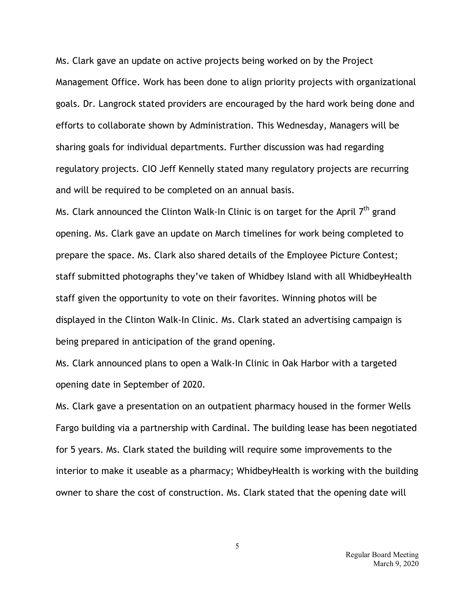Ms. Clark gave an update on active projects being worked on by the Project Management Office. Work has been done to align priority projects with organizational goals. Dr. Langrock stated providers are encouraged by the hard work being done and efforts to collaborate shown by Administration. This Wednesday, Managers will be sharing goals for individual departments. Further discussion was had regarding regulatory projects. CIO Jeff Kennelly stated many regulatory projects are recurring and will be required to be completed on an annual basis.

Ms. Clark announced the Clinton Walk-In Clinic is on target for the April  $7<sup>th</sup>$  grand opening. Ms. Clark gave an update on March timelines for work being completed to prepare the space. Ms. Clark also shared details of the Employee Picture Contest; staff submitted photographs they've taken of Whidbey Island with all WhidbeyHealth staff given the opportunity to vote on their favorites. Winning photos will be displayed in the Clinton Walk-In Clinic. Ms. Clark stated an advertising campaign is being prepared in anticipation of the grand opening.

Ms. Clark announced plans to open a Walk-In Clinic in Oak Harbor with a targeted opening date in September of 2020.

Ms. Clark gave a presentation on an outpatient pharmacy housed in the former Wells Fargo building via a partnership with Cardinal. The building lease has been negotiated for 5 years. Ms. Clark stated the building will require some improvements to the interior to make it useable as a pharmacy; WhidbeyHealth is working with the building owner to share the cost of construction. Ms. Clark stated that the opening date will

> Regular Board Meeting March 9, 2020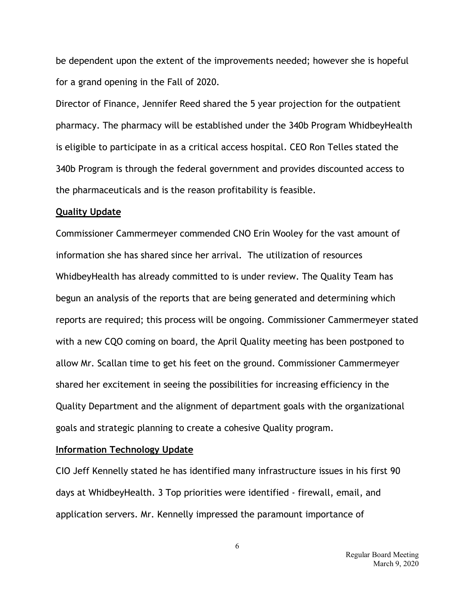be dependent upon the extent of the improvements needed; however she is hopeful for a grand opening in the Fall of 2020.

Director of Finance, Jennifer Reed shared the 5 year projection for the outpatient pharmacy. The pharmacy will be established under the 340b Program WhidbeyHealth is eligible to participate in as a critical access hospital. CEO Ron Telles stated the 340b Program is through the federal government and provides discounted access to the pharmaceuticals and is the reason profitability is feasible.

#### **Quality Update**

Commissioner Cammermeyer commended CNO Erin Wooley for the vast amount of information she has shared since her arrival. The utilization of resources WhidbeyHealth has already committed to is under review. The Quality Team has begun an analysis of the reports that are being generated and determining which reports are required; this process will be ongoing. Commissioner Cammermeyer stated with a new CQO coming on board, the April Quality meeting has been postponed to allow Mr. Scallan time to get his feet on the ground. Commissioner Cammermeyer shared her excitement in seeing the possibilities for increasing efficiency in the Quality Department and the alignment of department goals with the organizational goals and strategic planning to create a cohesive Quality program.

### **Information Technology Update**

CIO Jeff Kennelly stated he has identified many infrastructure issues in his first 90 days at WhidbeyHealth. 3 Top priorities were identified - firewall, email, and application servers. Mr. Kennelly impressed the paramount importance of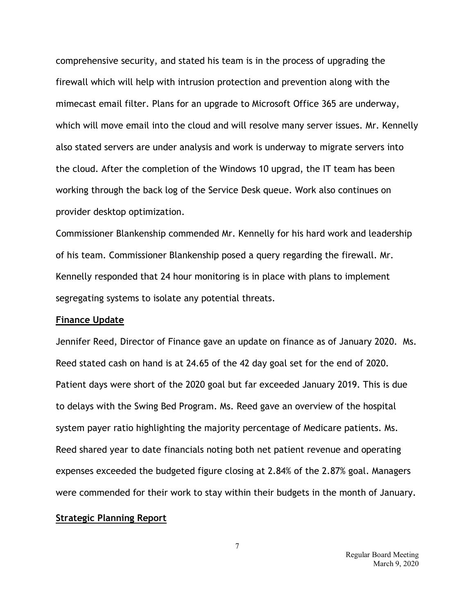comprehensive security, and stated his team is in the process of upgrading the firewall which will help with intrusion protection and prevention along with the mimecast email filter. Plans for an upgrade to Microsoft Office 365 are underway, which will move email into the cloud and will resolve many server issues. Mr. Kennelly also stated servers are under analysis and work is underway to migrate servers into the cloud. After the completion of the Windows 10 upgrad, the IT team has been working through the back log of the Service Desk queue. Work also continues on provider desktop optimization.

Commissioner Blankenship commended Mr. Kennelly for his hard work and leadership of his team. Commissioner Blankenship posed a query regarding the firewall. Mr. Kennelly responded that 24 hour monitoring is in place with plans to implement segregating systems to isolate any potential threats.

#### **Finance Update**

Jennifer Reed, Director of Finance gave an update on finance as of January 2020. Ms. Reed stated cash on hand is at 24.65 of the 42 day goal set for the end of 2020. Patient days were short of the 2020 goal but far exceeded January 2019. This is due to delays with the Swing Bed Program. Ms. Reed gave an overview of the hospital system payer ratio highlighting the majority percentage of Medicare patients. Ms. Reed shared year to date financials noting both net patient revenue and operating expenses exceeded the budgeted figure closing at 2.84% of the 2.87% goal. Managers were commended for their work to stay within their budgets in the month of January.

#### **Strategic Planning Report**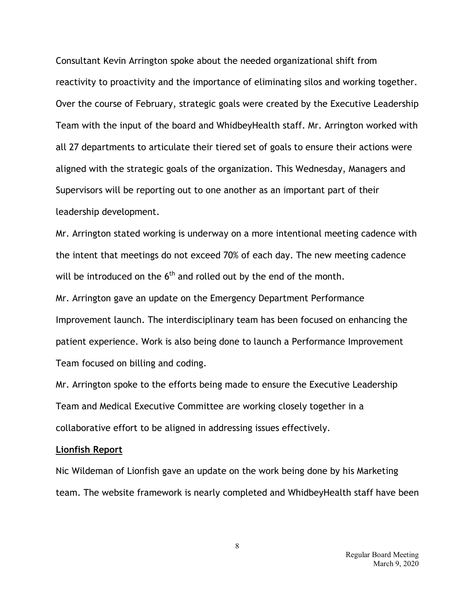Consultant Kevin Arrington spoke about the needed organizational shift from reactivity to proactivity and the importance of eliminating silos and working together. Over the course of February, strategic goals were created by the Executive Leadership Team with the input of the board and WhidbeyHealth staff. Mr. Arrington worked with all 27 departments to articulate their tiered set of goals to ensure their actions were aligned with the strategic goals of the organization. This Wednesday, Managers and Supervisors will be reporting out to one another as an important part of their leadership development.

Mr. Arrington stated working is underway on a more intentional meeting cadence with the intent that meetings do not exceed 70% of each day. The new meeting cadence will be introduced on the  $6<sup>th</sup>$  and rolled out by the end of the month.

Mr. Arrington gave an update on the Emergency Department Performance Improvement launch. The interdisciplinary team has been focused on enhancing the patient experience. Work is also being done to launch a Performance Improvement Team focused on billing and coding.

Mr. Arrington spoke to the efforts being made to ensure the Executive Leadership Team and Medical Executive Committee are working closely together in a collaborative effort to be aligned in addressing issues effectively.

## **Lionfish Report**

Nic Wildeman of Lionfish gave an update on the work being done by his Marketing team. The website framework is nearly completed and WhidbeyHealth staff have been

> Regular Board Meeting March 9, 2020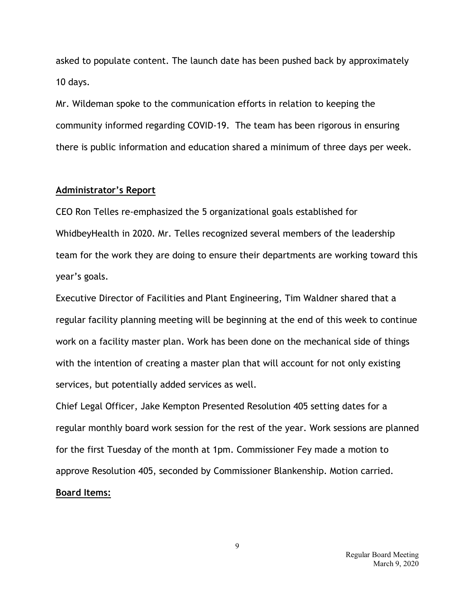asked to populate content. The launch date has been pushed back by approximately 10 days.

Mr. Wildeman spoke to the communication efforts in relation to keeping the community informed regarding COVID-19. The team has been rigorous in ensuring there is public information and education shared a minimum of three days per week.

#### **Administrator's Report**

CEO Ron Telles re-emphasized the 5 organizational goals established for WhidbeyHealth in 2020. Mr. Telles recognized several members of the leadership team for the work they are doing to ensure their departments are working toward this year's goals.

Executive Director of Facilities and Plant Engineering, Tim Waldner shared that a regular facility planning meeting will be beginning at the end of this week to continue work on a facility master plan. Work has been done on the mechanical side of things with the intention of creating a master plan that will account for not only existing services, but potentially added services as well.

Chief Legal Officer, Jake Kempton Presented Resolution 405 setting dates for a regular monthly board work session for the rest of the year. Work sessions are planned for the first Tuesday of the month at 1pm. Commissioner Fey made a motion to approve Resolution 405, seconded by Commissioner Blankenship. Motion carried. **Board Items:**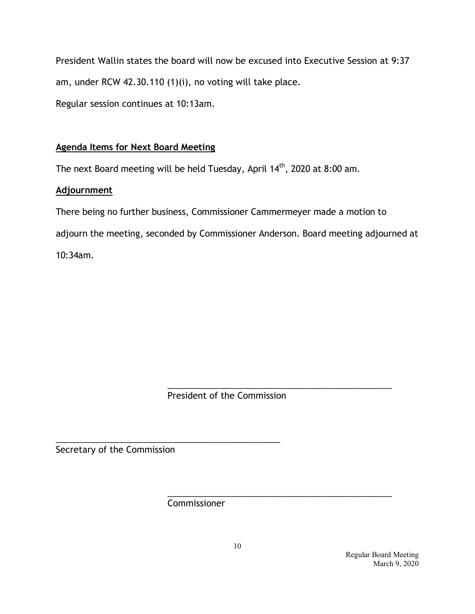President Wallin states the board will now be excused into Executive Session at 9:37 am, under RCW 42.30.110 (1)(i), no voting will take place. Regular session continues at 10:13am.

# **Agenda Items for Next Board Meeting**

The next Board meeting will be held Tuesday, April 14<sup>th</sup>, 2020 at 8:00 am.

# **Adjournment**

There being no further business, Commissioner Cammermeyer made a motion to adjourn the meeting, seconded by Commissioner Anderson. Board meeting adjourned at 10:34am.

> \_\_\_\_\_\_\_\_\_\_\_\_\_\_\_\_\_\_\_\_\_\_\_\_\_\_\_\_\_\_\_\_\_\_\_\_\_\_\_\_\_\_\_\_\_\_ President of the Commission

Secretary of the Commission

\_\_\_\_\_\_\_\_\_\_\_\_\_\_\_\_\_\_\_\_\_\_\_\_\_\_\_\_\_\_\_\_\_\_\_\_\_\_\_\_\_\_\_\_\_\_ Commissioner

\_\_\_\_\_\_\_\_\_\_\_\_\_\_\_\_\_\_\_\_\_\_\_\_\_\_\_\_\_\_\_\_\_\_\_\_\_\_\_\_\_\_\_\_\_\_

 Regular Board Meeting March 9, 2020